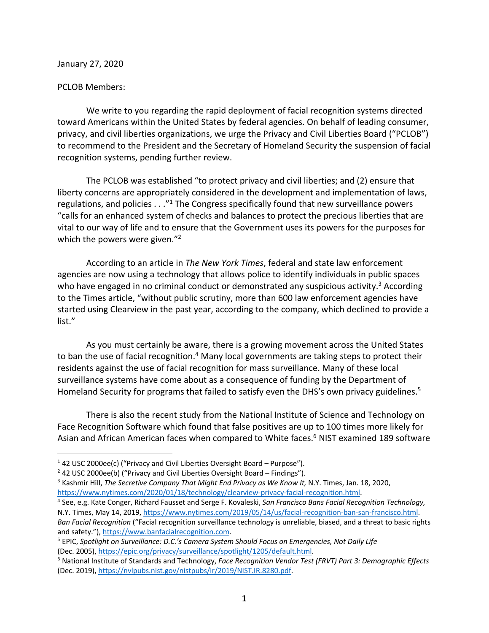January 27, 2020

## PCLOB Members:

We write to you regarding the rapid deployment of facial recognition systems directed toward Americans within the United States by federal agencies. On behalf of leading consumer, privacy, and civil liberties organizations, we urge the Privacy and Civil Liberties Board ("PCLOB") to recommend to the President and the Secretary of Homeland Security the suspension of facial recognition systems, pending further review.

The PCLOB was established "to protect privacy and civil liberties; and (2) ensure that liberty concerns are appropriately considered in the development and implementation of laws, regulations, and policies  $\ldots$ <sup>"1</sup> The Congress specifically found that new surveillance powers "calls for an enhanced system of checks and balances to protect the precious liberties that are vital to our way of life and to ensure that the Government uses its powers for the purposes for which the powers were given."<sup>2</sup>

According to an article in *The New York Times*, federal and state law enforcement agencies are now using a technology that allows police to identify individuals in public spaces who have engaged in no criminal conduct or demonstrated any suspicious activity.<sup>3</sup> According to the Times article, "without public scrutiny, more than 600 law enforcement agencies have started using Clearview in the past year, according to the company, which declined to provide a list."

As you must certainly be aware, there is a growing movement across the United States to ban the use of facial recognition.<sup>4</sup> Many local governments are taking steps to protect their residents against the use of facial recognition for mass surveillance. Many of these local surveillance systems have come about as a consequence of funding by the Department of Homeland Security for programs that failed to satisfy even the DHS's own privacy guidelines.<sup>5</sup>

There is also the recent study from the National Institute of Science and Technology on Face Recognition Software which found that false positives are up to 100 times more likely for Asian and African American faces when compared to White faces.<sup>6</sup> NIST examined 189 software

<sup>&</sup>lt;sup>1</sup> 42 USC 2000ee(c) ("Privacy and Civil Liberties Oversight Board – Purpose").

 $2$  42 USC 2000ee(b) ("Privacy and Civil Liberties Oversight Board – Findings").

<sup>3</sup> Kashmir Hill, *The Secretive Company That Might End Privacy as We Know It,* N.Y. Times, Jan. 18, 2020, https://www.nytimes.com/2020/01/18/technology/clearview-privacy-facial-recognition.html. 4 See, e.g. Kate Conger, Richard Fausset and Serge F. Kovaleski, *San Francisco Bans Facial Recognition Technology,*

N.Y. Times, May 14, 2019, https://www.nytimes.com/2019/05/14/us/facial-recognition-ban-san-francisco.html. *Ban Facial Recognition* ("Facial recognition surveillance technology is unreliable, biased, and a threat to basic rights and safety."), https://www.banfacialrecognition.com.

<sup>5</sup> EPIC, *Spotlight on Surveillance: D.C.'s Camera System Should Focus on Emergencies, Not Daily Life*

<sup>(</sup>Dec. 2005), https://epic.org/privacy/surveillance/spotlight/1205/default.html. 6 National Institute of Standards and Technology, *Face Recognition Vendor Test (FRVT) Part 3: Demographic Effects* (Dec. 2019), https://nvlpubs.nist.gov/nistpubs/ir/2019/NIST.IR.8280.pdf.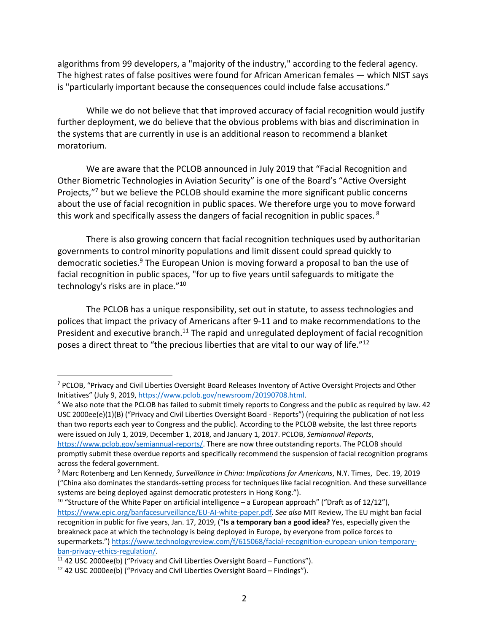algorithms from 99 developers, a "majority of the industry," according to the federal agency. The highest rates of false positives were found for African American females — which NIST says is "particularly important because the consequences could include false accusations."

While we do not believe that that improved accuracy of facial recognition would justify further deployment, we do believe that the obvious problems with bias and discrimination in the systems that are currently in use is an additional reason to recommend a blanket moratorium.

We are aware that the PCLOB announced in July 2019 that "Facial Recognition and Other Biometric Technologies in Aviation Security" is one of the Board's "Active Oversight Projects,"<sup>7</sup> but we believe the PCLOB should examine the more significant public concerns about the use of facial recognition in public spaces. We therefore urge you to move forward this work and specifically assess the dangers of facial recognition in public spaces. <sup>8</sup>

There is also growing concern that facial recognition techniques used by authoritarian governments to control minority populations and limit dissent could spread quickly to democratic societies.<sup>9</sup> The European Union is moving forward a proposal to ban the use of facial recognition in public spaces, "for up to five years until safeguards to mitigate the technology's risks are in place."10

The PCLOB has a unique responsibility, set out in statute, to assess technologies and polices that impact the privacy of Americans after 9-11 and to make recommendations to the President and executive branch.<sup>11</sup> The rapid and unregulated deployment of facial recognition poses a direct threat to "the precious liberties that are vital to our way of life."12

USC 2000ee(e)(1)(B) ("Privacy and Civil Liberties Oversight Board - Reports") (requiring the publication of not less than two reports each year to Congress and the public). According to the PCLOB website, the last three reports were issued on July 1, 2019, December 1, 2018, and January 1, 2017. PCLOB, *Semiannual Reports*, https://www.pclob.gov/semiannual-reports/. There are now three outstanding reports. The PCLOB should promptly submit these overdue reports and specifically recommend the suspension of facial recognition programs

<sup>10</sup> "Structure of the White Paper on artificial intelligence – a European approach" ("Draft as of 12/12"), https://www.epic.org/banfacesurveillance/EU-AI-white-paper.pdf. *See also* MIT Review, The EU might ban facial recognition in public for five years, Jan. 17, 2019, ("**Is a temporary ban a good idea?** Yes, especially given the breakneck pace at which the technology is being deployed in Europe, by everyone from police forces to supermarkets.") https://www.technologyreview.com/f/615068/facial-recognition-european-union-temporaryban-privacy-ethics-regulation/.<br><sup>11</sup> 42 USC 2000ee(b) ("Privacy and Civil Liberties Oversight Board – Functions").

<sup>7</sup> PCLOB, "Privacy and Civil Liberties Oversight Board Releases Inventory of Active Oversight Projects and Other Initiatives" (July 9, 2019, https://www.pclob.gov/newsroom/20190708.html.<br><sup>8</sup> We also note that the PCLOB has failed to submit timely reports to Congress and the public as required by law. 42

across the federal government. <sup>9</sup> Marc Rotenberg and Len Kennedy, *Surveillance in China: Implications for Americans*, N.Y. Times, Dec. 19, 2019 ("China also dominates the standards-setting process for techniques like facial recognition. And these surveillance systems are being deployed against democratic protesters in Hong Kong.").

 $12$  42 USC 2000ee(b) ("Privacy and Civil Liberties Oversight Board – Findings").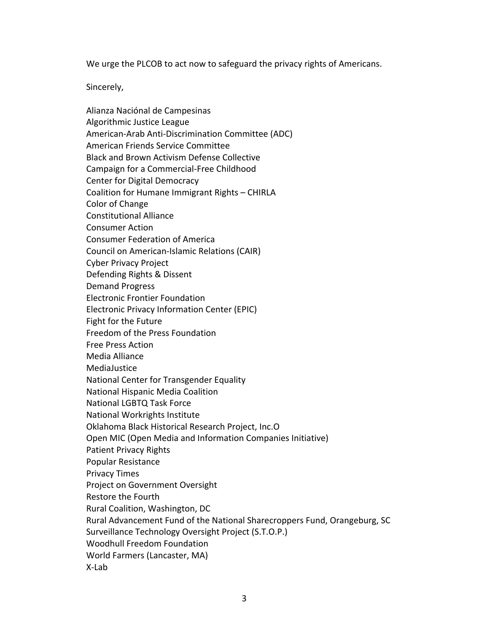We urge the PLCOB to act now to safeguard the privacy rights of Americans.

Sincerely,

Alianza Naciónal de Campesinas Algorithmic Justice League American-Arab Anti-Discrimination Committee (ADC) American Friends Service Committee Black and Brown Activism Defense Collective Campaign for a Commercial-Free Childhood Center for Digital Democracy Coalition for Humane Immigrant Rights – CHIRLA Color of Change Constitutional Alliance Consumer Action Consumer Federation of America Council on American-Islamic Relations (CAIR) Cyber Privacy Project Defending Rights & Dissent Demand Progress Electronic Frontier Foundation Electronic Privacy Information Center (EPIC) Fight for the Future Freedom of the Press Foundation Free Press Action Media Alliance MediaJustice National Center for Transgender Equality National Hispanic Media Coalition National LGBTQ Task Force National Workrights Institute Oklahoma Black Historical Research Project, Inc.O Open MIC (Open Media and Information Companies Initiative) Patient Privacy Rights Popular Resistance Privacy Times Project on Government Oversight Restore the Fourth Rural Coalition, Washington, DC Rural Advancement Fund of the National Sharecroppers Fund, Orangeburg, SC Surveillance Technology Oversight Project (S.T.O.P.) Woodhull Freedom Foundation World Farmers (Lancaster, MA) X-Lab